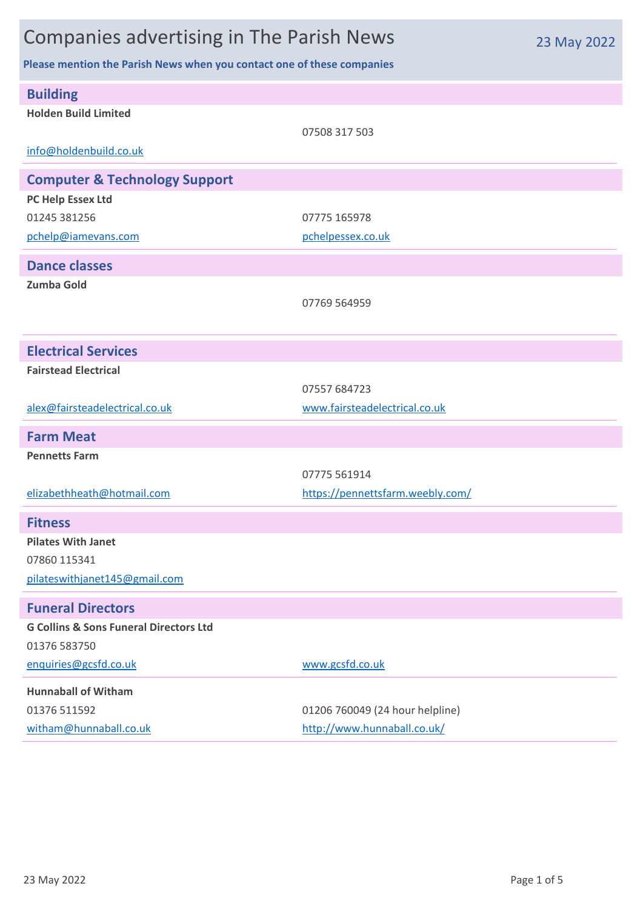## Companies advertising in The Parish News

**Please mention the Parish News when you contact one of these companies**

| <b>Building</b><br><b>Holden Build Limited</b>    | 07508 317 503                    |
|---------------------------------------------------|----------------------------------|
| info@holdenbuild.co.uk                            |                                  |
| <b>Computer &amp; Technology Support</b>          |                                  |
| PC Help Essex Ltd                                 |                                  |
| 01245 381256                                      | 07775 165978                     |
| pchelp@iamevans.com                               | pchelpessex.co.uk                |
| <b>Dance classes</b>                              |                                  |
| <b>Zumba Gold</b>                                 |                                  |
|                                                   | 07769 564959                     |
|                                                   |                                  |
| <b>Electrical Services</b>                        |                                  |
| <b>Fairstead Electrical</b>                       |                                  |
|                                                   | 07557 684723                     |
| alex@fairsteadelectrical.co.uk                    | www.fairsteadelectrical.co.uk    |
| <b>Farm Meat</b>                                  |                                  |
| <b>Pennetts Farm</b>                              |                                  |
|                                                   | 07775 561914                     |
| elizabethheath@hotmail.com                        | https://pennettsfarm.weebly.com/ |
| <b>Fitness</b>                                    |                                  |
| <b>Pilates With Janet</b>                         |                                  |
| 07860 115341                                      |                                  |
| pilateswithjanet145@gmail.com                     |                                  |
| <b>Funeral Directors</b>                          |                                  |
| <b>G Collins &amp; Sons Funeral Directors Ltd</b> |                                  |
| 01376 583750                                      |                                  |
| enquiries@gcsfd.co.uk                             | www.gcsfd.co.uk                  |
| <b>Hunnaball of Witham</b>                        |                                  |
| 01376 511592                                      | 01206 760049 (24 hour helpline)  |
| witham@hunnaball.co.uk                            | http://www.hunnaball.co.uk/      |

23 May 2022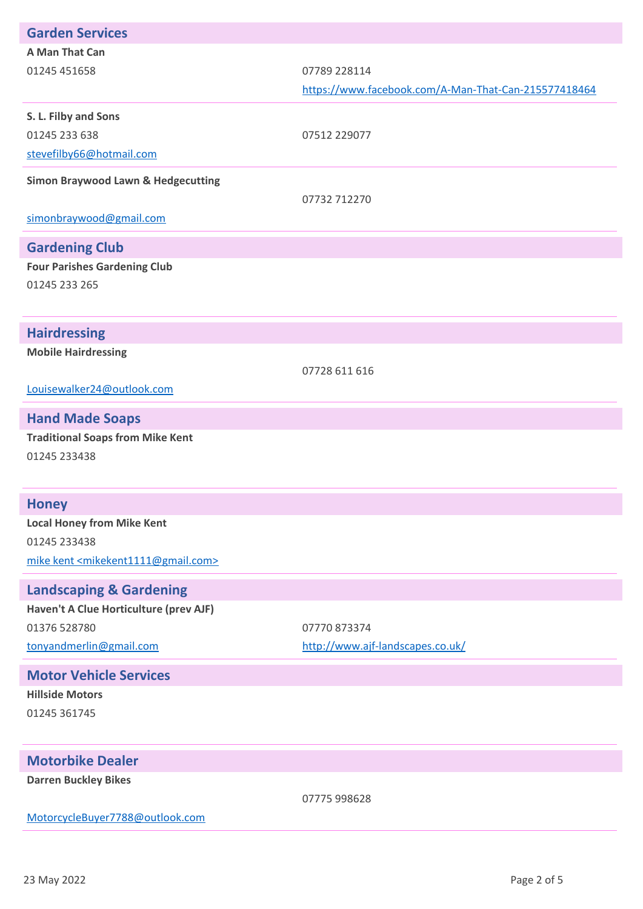| <b>Garden Services</b>                                      |                                                      |
|-------------------------------------------------------------|------------------------------------------------------|
| A Man That Can                                              |                                                      |
| 01245 451658                                                | 07789 228114                                         |
|                                                             | https://www.facebook.com/A-Man-That-Can-215577418464 |
| S. L. Filby and Sons                                        |                                                      |
| 01245 233 638                                               | 07512 229077                                         |
| stevefilby66@hotmail.com                                    |                                                      |
| <b>Simon Braywood Lawn &amp; Hedgecutting</b>               |                                                      |
|                                                             | 07732 712270                                         |
| simonbraywood@gmail.com                                     |                                                      |
| <b>Gardening Club</b>                                       |                                                      |
| <b>Four Parishes Gardening Club</b>                         |                                                      |
| 01245 233 265                                               |                                                      |
|                                                             |                                                      |
| <b>Hairdressing</b>                                         |                                                      |
| <b>Mobile Hairdressing</b>                                  |                                                      |
|                                                             | 07728 611 616                                        |
| Louisewalker24@outlook.com                                  |                                                      |
| <b>Hand Made Soaps</b>                                      |                                                      |
|                                                             |                                                      |
|                                                             |                                                      |
| <b>Traditional Soaps from Mike Kent</b>                     |                                                      |
| 01245 233438                                                |                                                      |
|                                                             |                                                      |
| <b>Honey</b>                                                |                                                      |
| <b>Local Honey from Mike Kent</b>                           |                                                      |
| 01245 233438                                                |                                                      |
| mike kent <mikekent1111@gmail.com></mikekent1111@gmail.com> |                                                      |
| <b>Landscaping &amp; Gardening</b>                          |                                                      |
| Haven't A Clue Horticulture (prev AJF)                      |                                                      |
| 01376 528780                                                | 07770873374                                          |
| tonyandmerlin@gmail.com                                     | http://www.ajf-landscapes.co.uk/                     |
| <b>Motor Vehicle Services</b>                               |                                                      |
| <b>Hillside Motors</b>                                      |                                                      |
| 01245 361745                                                |                                                      |
|                                                             |                                                      |
| <b>Motorbike Dealer</b>                                     |                                                      |

07775 998628

[MotorcycleBuyer7788@outlook.com](mailto:MotorcycleBuyer7788@outlook.com)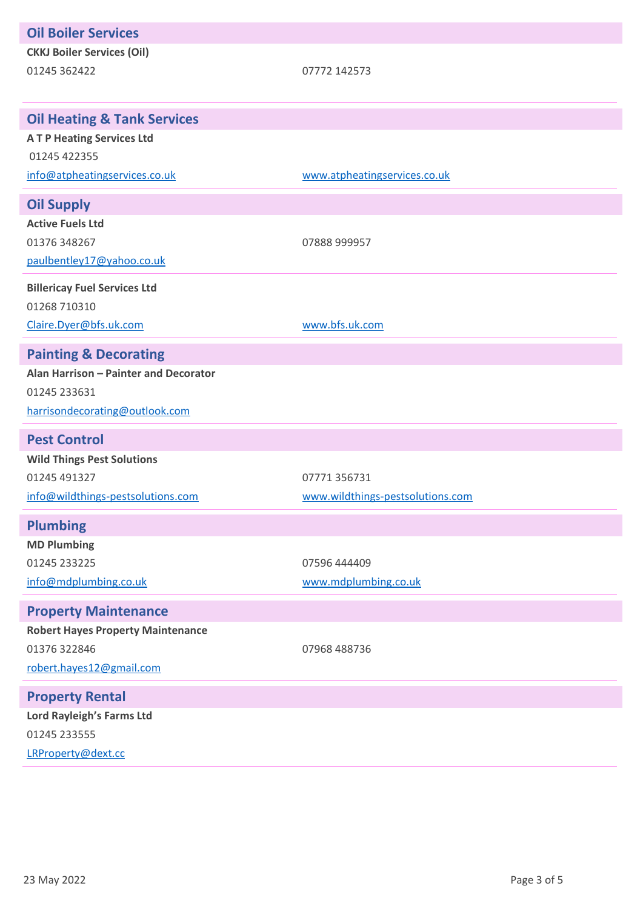| <b>Oil Boiler Services</b>               |                                  |
|------------------------------------------|----------------------------------|
| <b>CKKJ Boiler Services (Oil)</b>        |                                  |
| 01245 362422                             | 07772 142573                     |
|                                          |                                  |
| <b>Oil Heating &amp; Tank Services</b>   |                                  |
| <b>ATP Heating Services Ltd</b>          |                                  |
| 01245 422355                             |                                  |
| info@atpheatingservices.co.uk            | www.atpheatingservices.co.uk     |
| <b>Oil Supply</b>                        |                                  |
| <b>Active Fuels Ltd</b>                  |                                  |
| 01376 348267                             | 07888 999957                     |
| paulbentley17@yahoo.co.uk                |                                  |
| <b>Billericay Fuel Services Ltd</b>      |                                  |
| 01268 710310                             |                                  |
| Claire.Dyer@bfs.uk.com                   | www.bfs.uk.com                   |
| <b>Painting &amp; Decorating</b>         |                                  |
| Alan Harrison - Painter and Decorator    |                                  |
| 01245 233631                             |                                  |
| harrisondecorating@outlook.com           |                                  |
| <b>Pest Control</b>                      |                                  |
| <b>Wild Things Pest Solutions</b>        |                                  |
| 01245 491327                             | 07771 356731                     |
| info@wildthings-pestsolutions.com        | www.wildthings-pestsolutions.com |
| <b>Plumbing</b>                          |                                  |
| <b>MD Plumbing</b>                       |                                  |
| 01245 233225                             | 07596 444409                     |
| info@mdplumbing.co.uk                    | www.mdplumbing.co.uk             |
| <b>Property Maintenance</b>              |                                  |
| <b>Robert Hayes Property Maintenance</b> |                                  |
| 01376 322846                             | 07968 488736                     |
| robert.hayes12@gmail.com                 |                                  |
| <b>Property Rental</b>                   |                                  |
| Lord Rayleigh's Farms Ltd                |                                  |
| 01245 233555                             |                                  |
| LRProperty@dext.cc                       |                                  |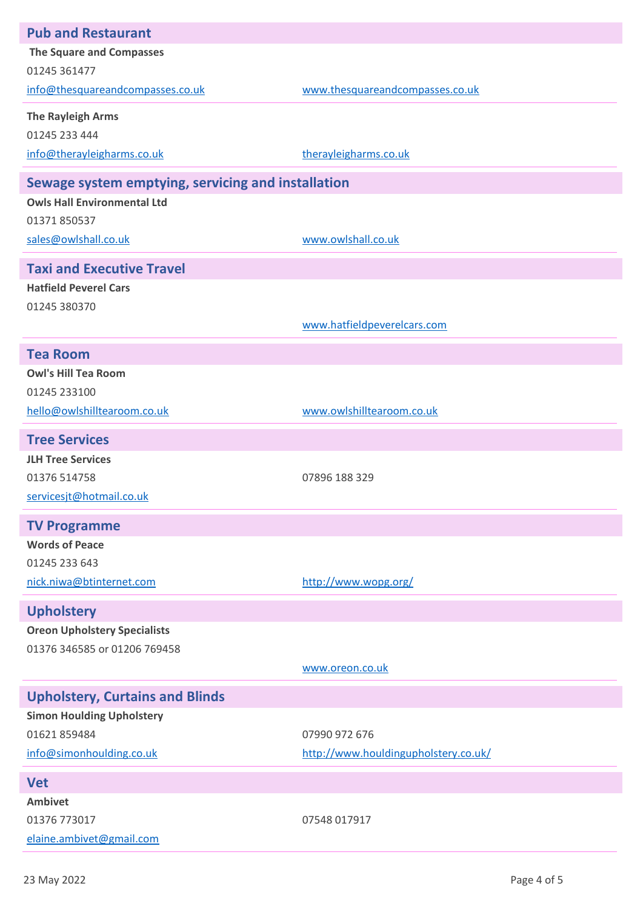| <b>Pub and Restaurant</b>                          |                                      |  |
|----------------------------------------------------|--------------------------------------|--|
| <b>The Square and Compasses</b>                    |                                      |  |
| 01245 361477                                       |                                      |  |
| info@thesquareandcompasses.co.uk                   | www.thesquareandcompasses.co.uk      |  |
| <b>The Rayleigh Arms</b>                           |                                      |  |
| 01245 233 444                                      |                                      |  |
| info@therayleigharms.co.uk                         | therayleigharms.co.uk                |  |
| Sewage system emptying, servicing and installation |                                      |  |
| <b>Owls Hall Environmental Ltd</b>                 |                                      |  |
| 01371 850537                                       |                                      |  |
| sales@owlshall.co.uk                               | www.owlshall.co.uk                   |  |
| <b>Taxi and Executive Travel</b>                   |                                      |  |
| <b>Hatfield Peverel Cars</b>                       |                                      |  |
| 01245 380370                                       |                                      |  |
|                                                    | www.hatfieldpeverelcars.com          |  |
| <b>Tea Room</b>                                    |                                      |  |
| <b>Owl's Hill Tea Room</b>                         |                                      |  |
| 01245 233100                                       |                                      |  |
| hello@owlshilltearoom.co.uk                        | www.owlshilltearoom.co.uk            |  |
| <b>Tree Services</b>                               |                                      |  |
| <b>JLH Tree Services</b>                           |                                      |  |
| 01376 514758                                       | 07896 188 329                        |  |
| servicesjt@hotmail.co.uk                           |                                      |  |
| <b>TV Programme</b>                                |                                      |  |
| <b>Words of Peace</b>                              |                                      |  |
| 01245 233 643                                      |                                      |  |
| nick.niwa@btinternet.com                           | http://www.wopg.org/                 |  |
| <b>Upholstery</b>                                  |                                      |  |
| <b>Oreon Upholstery Specialists</b>                |                                      |  |
| 01376 346585 or 01206 769458                       |                                      |  |
|                                                    | www.oreon.co.uk                      |  |
| <b>Upholstery, Curtains and Blinds</b>             |                                      |  |
| <b>Simon Houlding Upholstery</b>                   |                                      |  |
| 01621859484                                        | 07990 972 676                        |  |
| info@simonhoulding.co.uk                           | http://www.houldingupholstery.co.uk/ |  |
| <b>Vet</b>                                         |                                      |  |
| <b>Ambivet</b>                                     |                                      |  |
| 01376 773017                                       | 07548 017917                         |  |
| elaine.ambivet@gmail.com                           |                                      |  |
|                                                    |                                      |  |